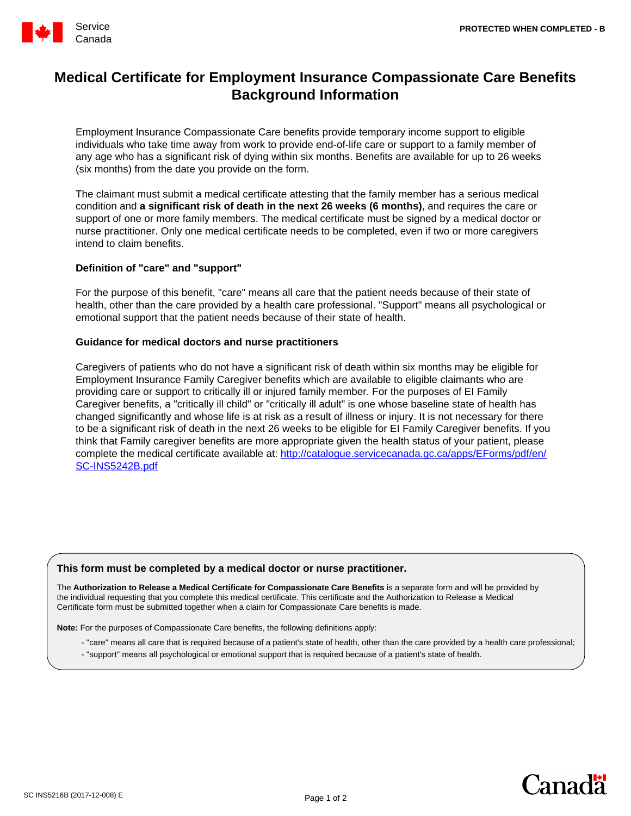

# **Medical Certificate for Employment Insurance Compassionate Care Benefits Background Information**

Employment Insurance Compassionate Care benefits provide temporary income support to eligible individuals who take time away from work to provide end-of-life care or support to a family member of any age who has a significant risk of dying within six months. Benefits are available for up to 26 weeks (six months) from the date you provide on the form.

The claimant must submit a medical certificate attesting that the family member has a serious medical condition and **a significant risk of death in the next 26 weeks (6 months)**, and requires the care or support of one or more family members. The medical certificate must be signed by a medical doctor or nurse practitioner. Only one medical certificate needs to be completed, even if two or more caregivers intend to claim benefits.

## **Definition of "care" and "support"**

For the purpose of this benefit, "care" means all care that the patient needs because of their state of health, other than the care provided by a health care professional. "Support" means all psychological or emotional support that the patient needs because of their state of health.

## **Guidance for medical doctors and nurse practitioners**

Caregivers of patients who do not have a significant risk of death within six months may be eligible for Employment Insurance Family Caregiver benefits which are available to eligible claimants who are providing care or support to critically ill or injured family member. For the purposes of EI Family Caregiver benefits, a "critically ill child" or "critically ill adult" is one whose baseline state of health has changed significantly and whose life is at risk as a result of illness or injury. It is not necessary for there to be a significant risk of death in the next 26 weeks to be eligible for EI Family Caregiver benefits. If you think that Family caregiver benefits are more appropriate given the health status of your patient, please complete the medical certificate available at: [http://catalogue.servicecanada.gc.ca/apps/EForms/pdf/en/](http://catalogue.servicecanada.gc.ca/apps/EForms/pdf/en/SC-INS5242B.pdf) [SC-INS5242B.pdf](http://catalogue.servicecanada.gc.ca/apps/EForms/pdf/en/SC-INS5242B.pdf)

### **This form must be completed by a medical doctor or nurse practitioner.**

The **Authorization to Release a Medical Certificate for Compassionate Care Benefits** is a separate form and will be provided by the individual requesting that you complete this medical certificate. This certificate and the Authorization to Release a Medical Certificate form must be submitted together when a claim for Compassionate Care benefits is made.

**Note:** For the purposes of Compassionate Care benefits, the following definitions apply:

- "care" means all care that is required because of a patient's state of health, other than the care provided by a health care professional;
- "support" means all psychological or emotional support that is required because of a patient's state of health.